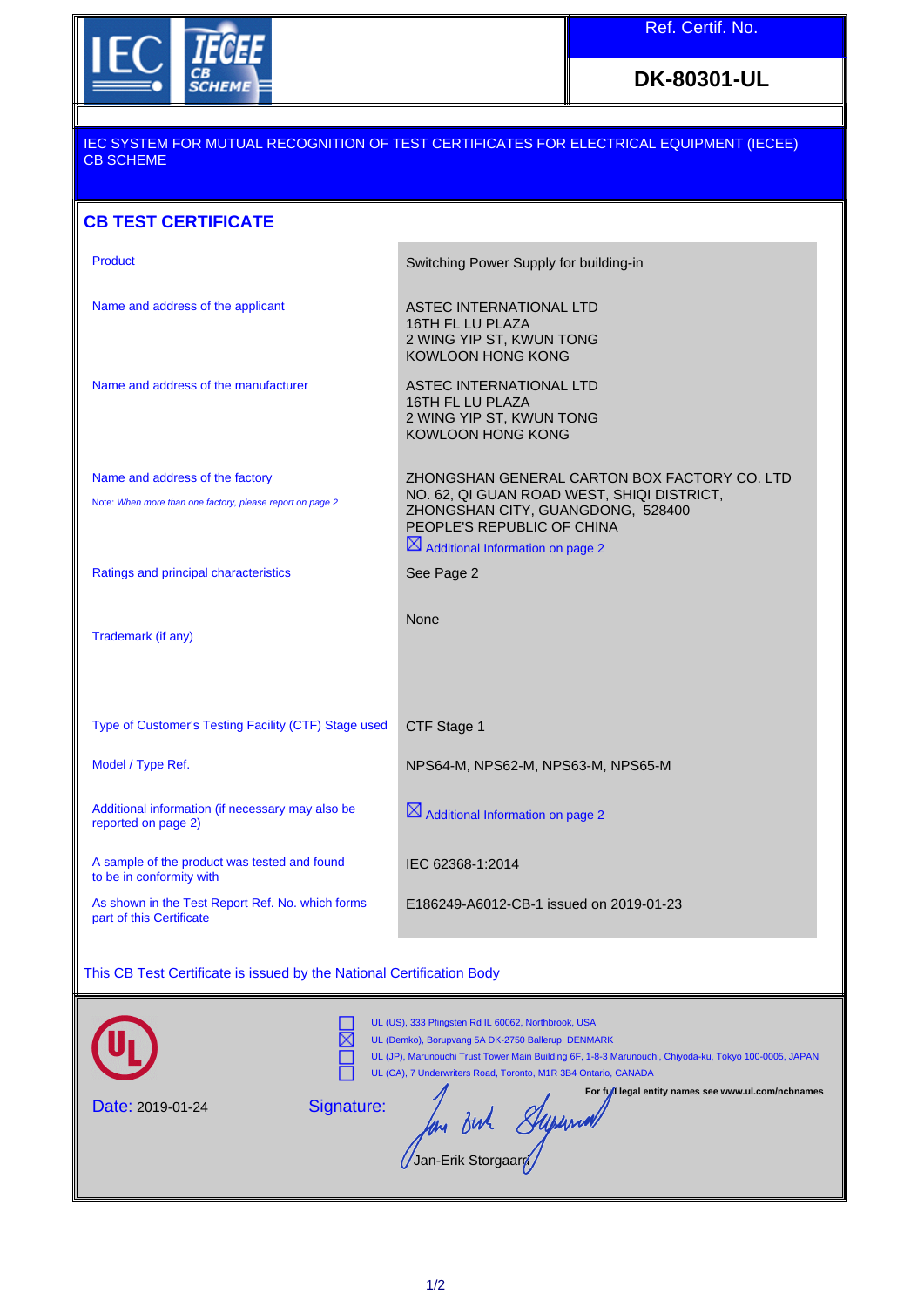

**DK-80301-UL**

## IEC SYSTEM FOR MUTUAL RECOGNITION OF TEST CERTIFICATES FOR ELECTRICAL EQUIPMENT (IECEE) CB SCHEME

## **CB TEST CERTIFICATE**

| <b>Product</b>                                                           | Switching Power Supply for building-in                                                                        |
|--------------------------------------------------------------------------|---------------------------------------------------------------------------------------------------------------|
| Name and address of the applicant                                        | <b>ASTEC INTERNATIONAL LTD</b><br>16TH FL LU PLAZA<br>2 WING YIP ST, KWUN TONG<br><b>KOWLOON HONG KONG</b>    |
| Name and address of the manufacturer                                     | ASTEC INTERNATIONAL LTD<br>16TH FL LU PLAZA<br>2 WING YIP ST, KWUN TONG<br><b>KOWLOON HONG KONG</b>           |
| Name and address of the factory                                          | ZHONGSHAN GENERAL CARTON BOX FACTORY CO. LTD                                                                  |
| Note: When more than one factory, please report on page 2                | NO. 62, QI GUAN ROAD WEST, SHIQI DISTRICT,<br>ZHONGSHAN CITY, GUANGDONG, 528400<br>PEOPLE'S REPUBLIC OF CHINA |
|                                                                          | $\boxtimes$ Additional Information on page 2                                                                  |
| Ratings and principal characteristics                                    | See Page 2                                                                                                    |
| Trademark (if any)                                                       | <b>None</b>                                                                                                   |
| Type of Customer's Testing Facility (CTF) Stage used                     | CTF Stage 1                                                                                                   |
| Model / Type Ref.                                                        | NPS64-M, NPS62-M, NPS63-M, NPS65-M                                                                            |
|                                                                          |                                                                                                               |
| Additional information (if necessary may also be<br>reported on page 2)  | $\boxtimes$ Additional Information on page 2                                                                  |
| A sample of the product was tested and found<br>to be in conformity with | IEC 62368-1:2014                                                                                              |

## This CB Test Certificate is issued by the National Certification Body

|                         | UL (US), 333 Pfingsten Rd IL 60062, Northbrook, USA<br>UL (Demko), Borupvang 5A DK-2750 Ballerup, DENMARK<br>UL (JP), Marunouchi Trust Tower Main Building 6F, 1-8-3 Marunouchi, Chiyoda-ku, Tokyo 100-0005, JAPAN<br>UL (CA), 7 Underwriters Road, Toronto, M1R 3B4 Ontario, CANADA |
|-------------------------|--------------------------------------------------------------------------------------------------------------------------------------------------------------------------------------------------------------------------------------------------------------------------------------|
| <b>Date: 2019-01-24</b> | For full legal entity names see www.ul.com/ncbnames<br>Signature:<br>/Jan-Erik Storgaard/                                                                                                                                                                                            |